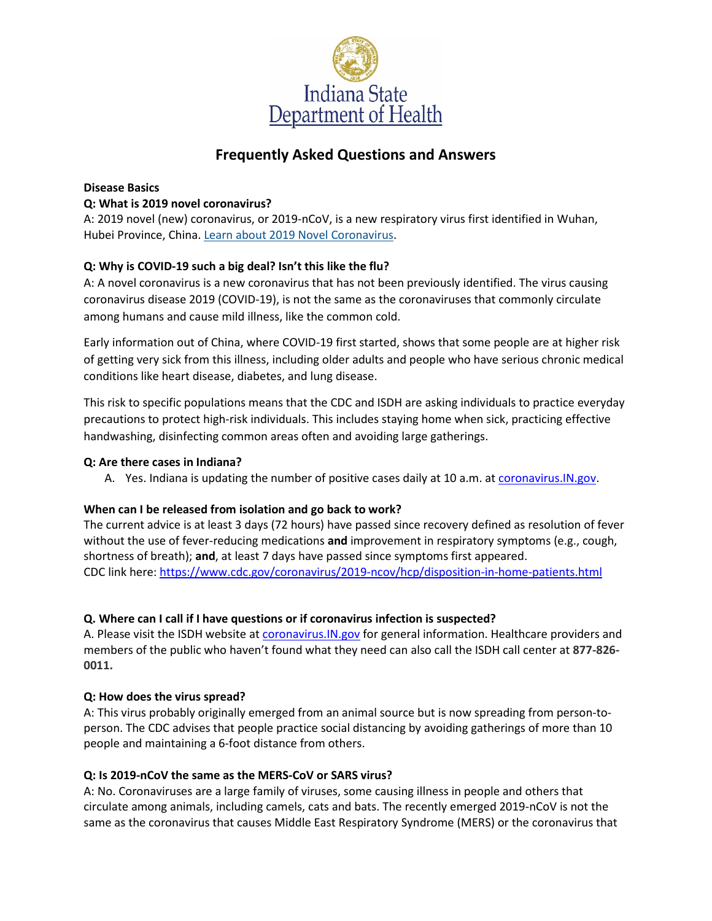

# **Frequently Asked Questions and Answers**

# **Disease Basics**

#### **Q: What is 2019 novel coronavirus?**

A: 2019 novel (new) coronavirus, or 2019-nCoV, is a new respiratory virus first identified in Wuhan, Hubei Province, China. [Learn about 2019 Novel Coronavirus.](https://www.cdc.gov/coronavirus/2019-ncov/index.html?CDC_AA_refVal=https%3A%2F%2Fwww.cdc.gov%2Fcoronavirus%2Fnovel-coronavirus-2019.html)

### **Q: Why is COVID-19 such a big deal? Isn't this like the flu?**

A: A novel coronavirus is a new coronavirus that has not been previously identified. The virus causing coronavirus disease 2019 (COVID-19), is not the same as the coronaviruses that commonly circulate among humans and cause mild illness, like the common cold.

Early information out of China, where COVID-19 first started, shows that some people are at higher risk of getting very sick from this illness, including older adults and people who have serious chronic medical conditions like heart disease, diabetes, and lung disease.

This risk to specific populations means that the CDC and ISDH are asking individuals to practice everyday precautions to protect high-risk individuals. This includes staying home when sick, practicing effective handwashing, disinfecting common areas often and avoiding large gatherings.

#### **Q: Are there cases in Indiana?**

A. Yes. Indiana is updating the number of positive cases daily at 10 a.m. at coronavirus. IN.gov.

#### **When can I be released from isolation and go back to work?**

The current advice is at least 3 days (72 hours) have passed since recovery defined as resolution of fever without the use of fever-reducing medications **and** improvement in respiratory symptoms (e.g., cough, shortness of breath); **and**, at least 7 days have passed since symptoms first appeared. CDC link here:<https://www.cdc.gov/coronavirus/2019-ncov/hcp/disposition-in-home-patients.html>

#### **Q. Where can I call if I have questions or if coronavirus infection is suspected?**

A. Please visit the ISDH website at coronavirus.IN.gov for general information. Healthcare providers and members of the public who haven't found what they need can also call the ISDH call center at **877-826- 0011.**

#### **Q: How does the virus spread?**

A: This virus probably originally emerged from an animal source but is now spreading from person-toperson. The CDC advises that people practice social distancing by avoiding gatherings of more than 10 people and maintaining a 6-foot distance from others.

#### **Q: Is 2019-nCoV the same as the MERS-CoV or SARS virus?**

A: No. Coronaviruses are a large family of viruses, some causing illness in people and others that circulate among animals, including camels, cats and bats. The recently emerged 2019-nCoV is not the same as the coronavirus that causes Middle East Respiratory Syndrome (MERS) or the coronavirus that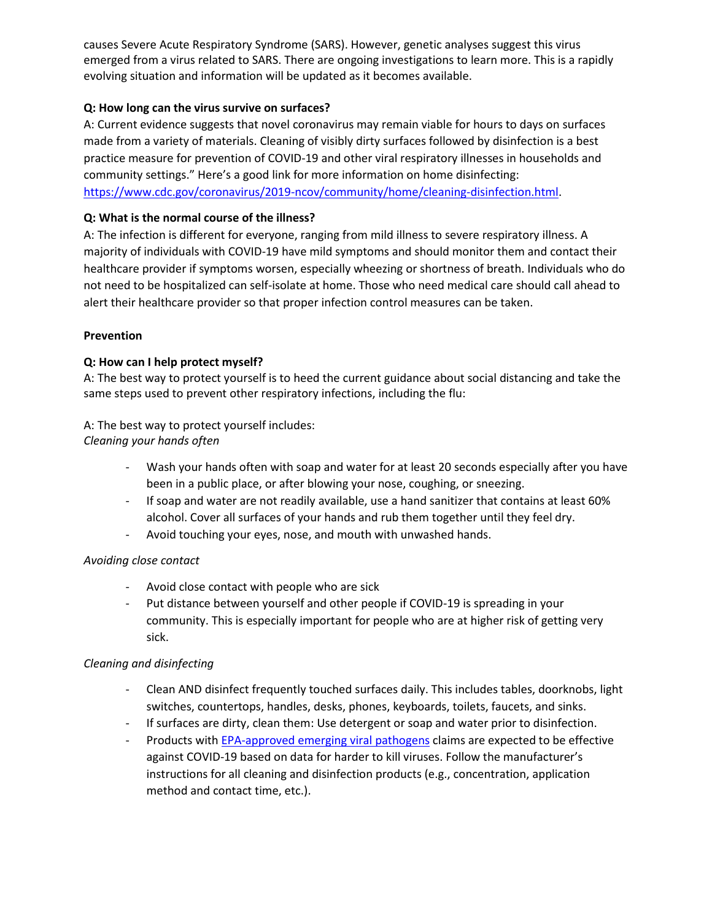causes Severe Acute Respiratory Syndrome (SARS). However, genetic analyses suggest this virus emerged from a virus related to SARS. There are ongoing investigations to learn more. This is a rapidly evolving situation and information will be updated as it becomes available.

### **Q: How long can the virus survive on surfaces?**

A: Current evidence suggests that novel coronavirus may remain viable for hours to days on surfaces made from a variety of materials. Cleaning of visibly dirty surfaces followed by disinfection is a best practice measure for prevention of COVID-19 and other viral respiratory illnesses in households and community settings." Here's a good link for more information on home disinfecting: [https://www.cdc.gov/coronavirus/2019-ncov/community/home/cleaning-disinfection.html.](https://www.cdc.gov/coronavirus/2019-ncov/community/home/cleaning-disinfection.html)

### **Q: What is the normal course of the illness?**

A: The infection is different for everyone, ranging from mild illness to severe respiratory illness. A majority of individuals with COVID-19 have mild symptoms and should monitor them and contact their healthcare provider if symptoms worsen, especially wheezing or shortness of breath. Individuals who do not need to be hospitalized can self-isolate at home. Those who need medical care should call ahead to alert their healthcare provider so that proper infection control measures can be taken.

### **Prevention**

### **Q: How can I help protect myself?**

A: The best way to protect yourself is to heed the current guidance about social distancing and take the same steps used to prevent other respiratory infections, including the flu:

# A: The best way to protect yourself includes:

*Cleaning your hands often*

- Wash your hands often with soap and water for at least 20 seconds especially after you have been in a public place, or after blowing your nose, coughing, or sneezing.
- If soap and water are not readily available, use a hand sanitizer that contains at least 60% alcohol. Cover all surfaces of your hands and rub them together until they feel dry.
- Avoid touching your eyes, nose, and mouth with unwashed hands.

# *Avoiding close contact*

- Avoid close contact with people who are sick
- Put distance between yourself and other people if COVID-19 is spreading in your community. This is especially important for people who are at higher risk of getting very sick.

# *Cleaning and disinfecting*

- Clean AND disinfect frequently touched surfaces daily. This includes tables, doorknobs, light switches, countertops, handles, desks, phones, keyboards, toilets, faucets, and sinks.
- If surfaces are dirty, clean them: Use detergent or soap and water prior to disinfection.
- Products with [EPA-approved emerging viral pathogens](https://www.epa.gov/sites/production/files/2020-03/documents/sars-cov-2-list_03-03-2020.pdf) claims are expected to be effective against COVID-19 based on data for harder to kill viruses. Follow the manufacturer's instructions for all cleaning and disinfection products (e.g., concentration, application method and contact time, etc.).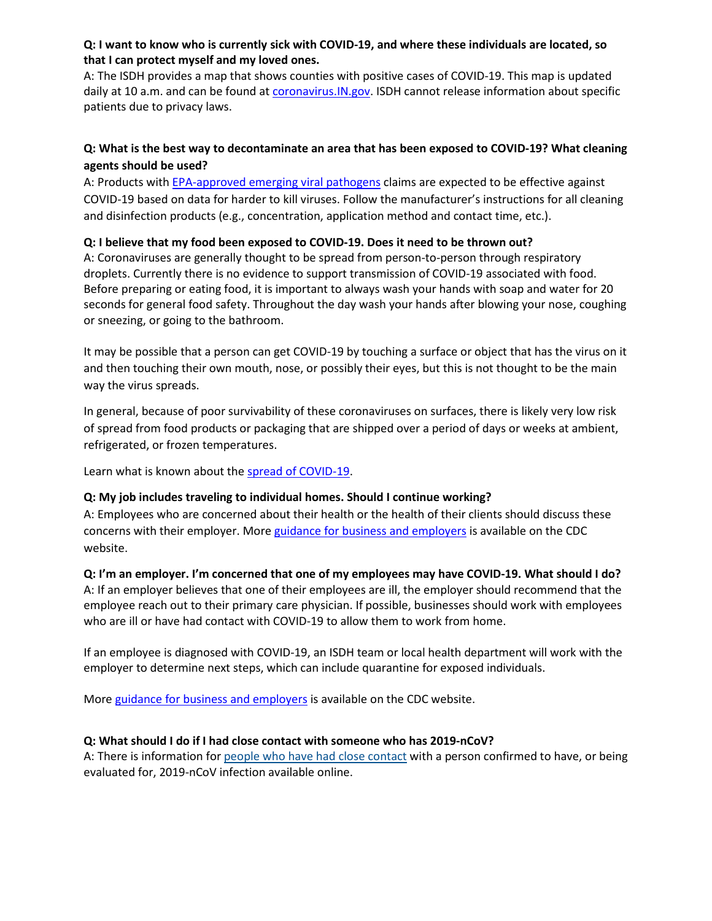### **Q: I want to know who is currently sick with COVID-19, and where these individuals are located, so that I can protect myself and my loved ones.**

A: The ISDH provides a map that shows counties with positive cases of COVID-19. This map is updated daily at 10 a.m. and can be found at [coronavirus.](https://coronavirus.in.gov/)IN.gov. ISDH cannot release information about specific patients due to privacy laws.

# **Q: What is the best way to decontaminate an area that has been exposed to COVID-19? What cleaning agents should be used?**

A: Products with [EPA-approved emerging viral pathogens](https://www.epa.gov/sites/production/files/2020-03/documents/sars-cov-2-list_03-03-2020.pdf) claims are expected to be effective against COVID-19 based on data for harder to kill viruses. Follow the manufacturer's instructions for all cleaning and disinfection products (e.g., concentration, application method and contact time, etc.).

# **Q: I believe that my food been exposed to COVID-19. Does it need to be thrown out?**

A: Coronaviruses are generally thought to be spread from person-to-person through respiratory droplets. Currently there is no evidence to support transmission of COVID-19 associated with food. Before preparing or eating food, it is important to always wash your hands with soap and water for 20 seconds for general food safety. Throughout the day wash your hands after blowing your nose, coughing or sneezing, or going to the bathroom.

It may be possible that a person can get COVID-19 by touching a surface or object that has the virus on it and then touching their own mouth, nose, or possibly their eyes, but this is not thought to be the main way the virus spreads.

In general, because of poor survivability of these coronaviruses on surfaces, there is likely very low risk of spread from food products or packaging that are shipped over a period of days or weeks at ambient, refrigerated, or frozen temperatures.

Learn what is known about the [spread of COVID-19.](https://www.cdc.gov/coronavirus/2019-ncov/about/transmission.html)

# **Q: My job includes traveling to individual homes. Should I continue working?**

A: Employees who are concerned about their health or the health of their clients should discuss these concerns with their employer. More [guidance for business and employers](https://www.cdc.gov/coronavirus/2019-ncov/community/guidance-business-response.html?CDC_AA_refVal=https%3A%2F%2Fwww.cdc.gov%2Fcoronavirus%2F2019-ncov%2Fspecific-groups%2Fguidance-business-response.html) is available on the CDC website.

# **Q: I'm an employer. I'm concerned that one of my employees may have COVID-19. What should I do?**

A: If an employer believes that one of their employees are ill, the employer should recommend that the employee reach out to their primary care physician. If possible, businesses should work with employees who are ill or have had contact with COVID-19 to allow them to work from home.

If an employee is diagnosed with COVID-19, an ISDH team or local health department will work with the employer to determine next steps, which can include quarantine for exposed individuals.

More [guidance for business and employers](https://www.cdc.gov/coronavirus/2019-ncov/community/guidance-business-response.html?CDC_AA_refVal=https%3A%2F%2Fwww.cdc.gov%2Fcoronavirus%2F2019-ncov%2Fspecific-groups%2Fguidance-business-response.html) is available on the CDC website.

# **Q: What should I do if I had close contact with someone who has 2019-nCoV?**

A: There is information for [people who have had close contact](https://www.cdc.gov/coronavirus/2019-ncov/guidance-prevent-spread.html#steps-for-close-contacts) with a person confirmed to have, or being evaluated for, 2019-nCoV infection available online.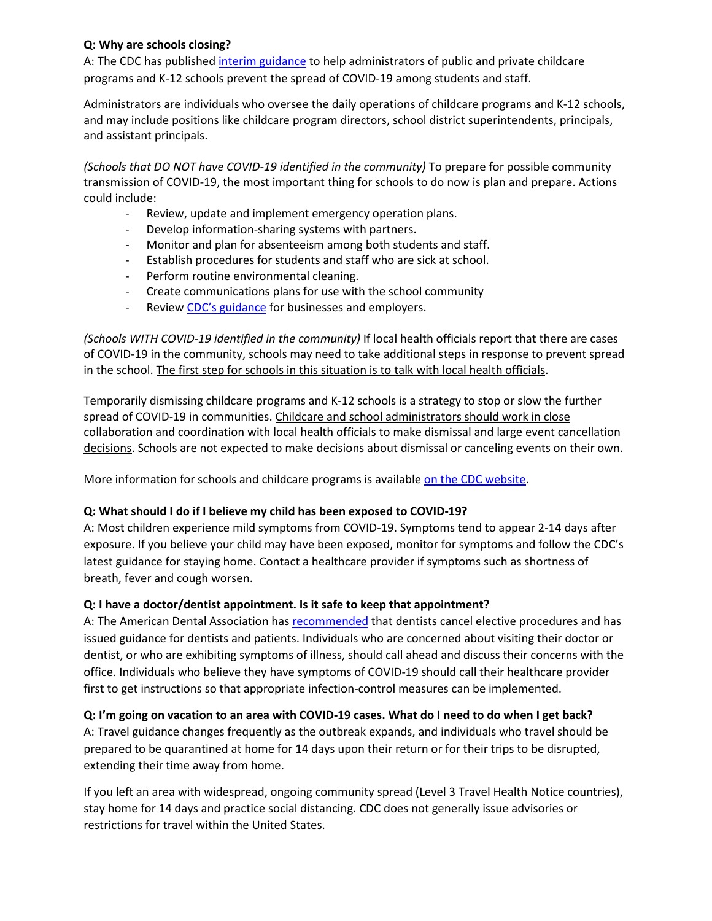# **Q: Why are schools closing?**

A: The CDC has published [interim guidance](https://www.cdc.gov/coronavirus/2019-ncov/community/schools-childcare/guidance-for-schools.html?CDC_AA_refVal=https%3A%2F%2Fwww.cdc.gov%2Fcoronavirus%2F2019-ncov%2Fspecific-groups%2Fguidance-for-schools.html) to help administrators of public and private childcare programs and K-12 schools prevent the spread of COVID-19 among students and staff.

Administrators are individuals who oversee the daily operations of childcare programs and K-12 schools, and may include positions like childcare program directors, school district superintendents, principals, and assistant principals.

*(Schools that DO NOT have COVID-19 identified in the community)* To prepare for possible community transmission of COVID-19, the most important thing for schools to do now is plan and prepare. Actions could include:

- Review, update and implement emergency operation plans.
- Develop information-sharing systems with partners.
- Monitor and plan for absenteeism among both students and staff.
- Establish procedures for students and staff who are sick at school.
- Perform routine environmental cleaning.
- Create communications plans for use with the school community
- Review [CDC's guidance](https://www.cdc.gov/coronavirus/2019-ncov/specific-groups/guidance-business-response.html) for businesses and employers.

*(Schools WITH COVID-19 identified in the community)* If local health officials report that there are cases of COVID-19 in the community, schools may need to take additional steps in response to prevent spread in the school. The first step for schools in this situation is to talk with local health officials.

Temporarily dismissing childcare programs and K-12 schools is a strategy to stop or slow the further spread of COVID-19 in communities. Childcare and school administrators should work in close collaboration and coordination with local health officials to make dismissal and large event cancellation decisions. Schools are not expected to make decisions about dismissal or canceling events on their own.

More information for schools and childcare programs is availabl[e on the CDC website.](https://www.cdc.gov/coronavirus/2019-ncov/community/schools-childcare/guidance-for-schools.html?CDC_AA_refVal=https%3A%2F%2Fwww.cdc.gov%2Fcoronavirus%2F2019-ncov%2Fspecific-groups%2Fguidance-for-schools.html)

# **Q: What should I do if I believe my child has been exposed to COVID-19?**

A: Most children experience mild symptoms from COVID-19. Symptoms tend to appear 2-14 days after exposure. If you believe your child may have been exposed, monitor for symptoms and follow the CDC's latest guidance for staying home. Contact a healthcare provider if symptoms such as shortness of breath, fever and cough worsen.

# **Q: I have a doctor/dentist appointment. Is it safe to keep that appointment?**

A: The American Dental Association has [recommended](https://www.ada.org/en/member-center/coronavirus-resource-toolkit-for-ada-members) that dentists cancel elective procedures and has issued guidance for dentists and patients. Individuals who are concerned about visiting their doctor or dentist, or who are exhibiting symptoms of illness, should call ahead and discuss their concerns with the office. Individuals who believe they have symptoms of COVID-19 should call their healthcare provider first to get instructions so that appropriate infection-control measures can be implemented.

# **Q: I'm going on vacation to an area with COVID-19 cases. What do I need to do when I get back?**

A: Travel guidance changes frequently as the outbreak expands, and individuals who travel should be prepared to be quarantined at home for 14 days upon their return or for their trips to be disrupted, extending their time away from home.

If you left an area with widespread, ongoing community spread (Level 3 Travel Health Notice countries), stay home for 14 days and practice social distancing. CDC does not generally issue advisories or restrictions for travel within the United States.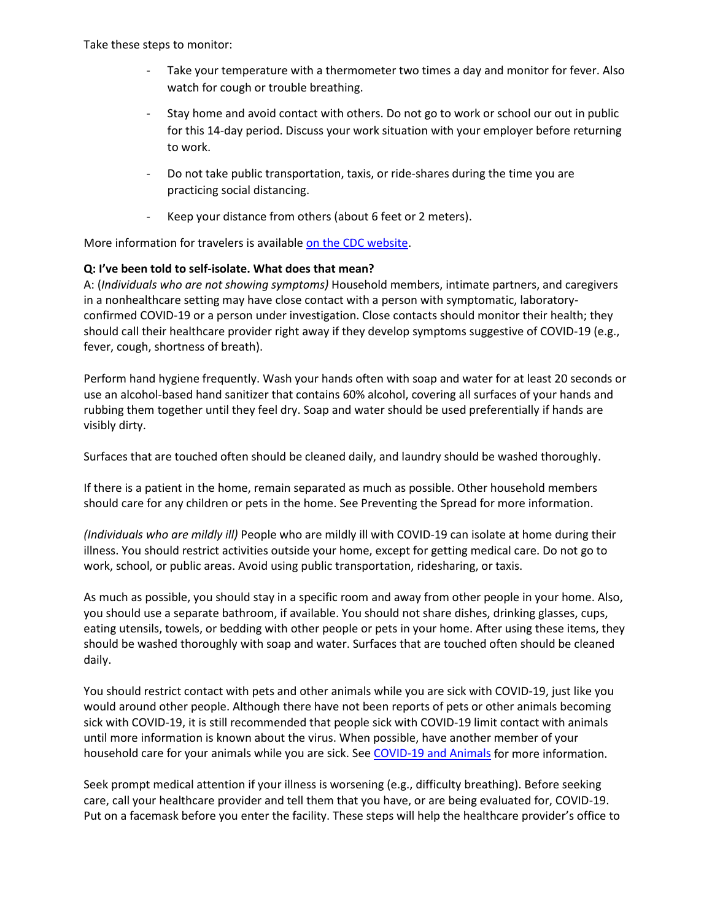Take these steps to monitor:

- Take your temperature with a thermometer two times a day and monitor for fever. Also watch for cough or trouble breathing.
- Stay home and avoid contact with others. Do not go to work or school our out in public for this 14-day period. Discuss your work situation with your employer before returning to work.
- Do not take public transportation, taxis, or ride-shares during the time you are practicing social distancing.
- Keep your distance from others (about 6 feet or 2 meters).

More information for travelers is available [on the CDC website.](https://www.cdc.gov/coronavirus/2019-ncov/travelers/index.html)

### **Q: I've been told to self-isolate. What does that mean?**

A: (*Individuals who are not showing symptoms)* Household members, intimate partners, and caregivers in a nonhealthcare setting may have close contact with a person with symptomatic, laboratoryconfirmed COVID-19 or a person under investigation. Close contacts should monitor their health; they should call their healthcare provider right away if they develop symptoms suggestive of COVID-19 (e.g., fever, cough, shortness of breath).

Perform hand hygiene frequently. Wash your hands often with soap and water for at least 20 seconds or use an alcohol-based hand sanitizer that contains 60% alcohol, covering all surfaces of your hands and rubbing them together until they feel dry. Soap and water should be used preferentially if hands are visibly dirty.

Surfaces that are touched often should be cleaned daily, and laundry should be washed thoroughly.

If there is a patient in the home, remain separated as much as possible. Other household members should care for any children or pets in the home. See Preventing the Spread for more information.

*(Individuals who are mildly ill)* People who are mildly ill with COVID-19 can isolate at home during their illness. You should restrict activities outside your home, except for getting medical care. Do not go to work, school, or public areas. Avoid using public transportation, ridesharing, or taxis.

As much as possible, you should stay in a specific room and away from other people in your home. Also, you should use a separate bathroom, if available. You should not share dishes, drinking glasses, cups, eating utensils, towels, or bedding with other people or pets in your home. After using these items, they should be washed thoroughly with soap and water. Surfaces that are touched often should be cleaned daily.

You should restrict contact with pets and other animals while you are sick with COVID-19, just like you would around other people. Although there have not been reports of pets or other animals becoming sick with COVID-19, it is still recommended that people sick with COVID-19 limit contact with animals until more information is known about the virus. When possible, have another member of your household care for your animals while you are sick. Se[e COVID-19 and Animals](https://www.cdc.gov/coronavirus/2019-ncov/faq.html#2019-nCoV-and-animals) for more information.

Seek prompt medical attention if your illness is worsening (e.g., difficulty breathing). Before seeking care, call your healthcare provider and tell them that you have, or are being evaluated for, COVID-19. Put on a facemask before you enter the facility. These steps will help the healthcare provider's office to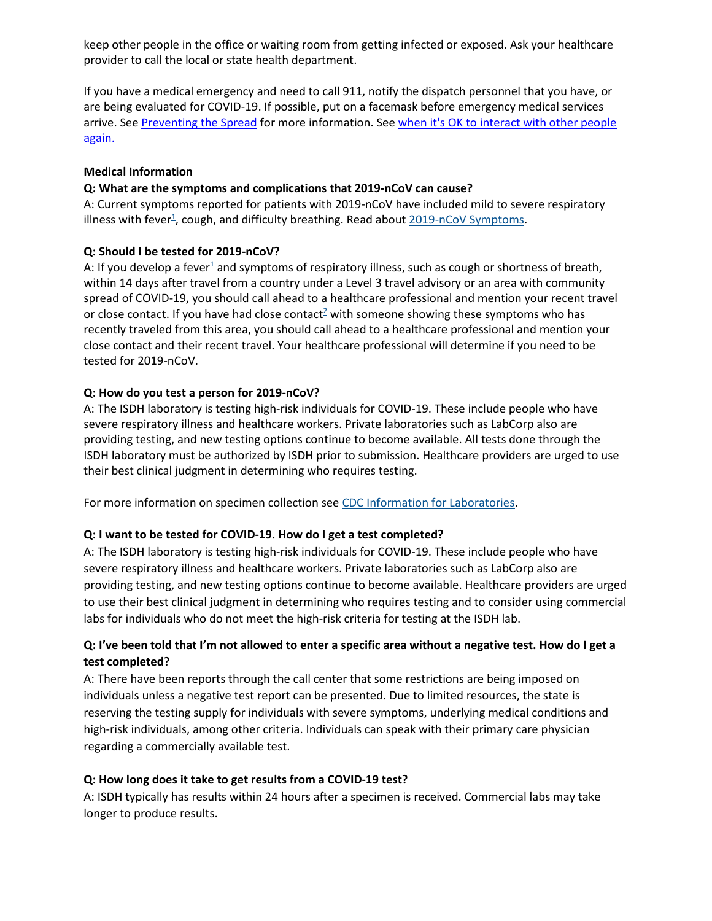keep other people in the office or waiting room from getting infected or exposed. Ask your healthcare provider to call the local or state health department.

If you have a medical emergency and need to call 911, notify the dispatch personnel that you have, or are being evaluated for COVID-19. If possible, put on a facemask before emergency medical services arrive. Se[e Preventing the Spread](https://www.cdc.gov/coronavirus/2019-ncov/hcp/guidance-prevent-spread.html?CDC_AA_refVal=https%3A%2F%2Fwww.cdc.gov%2Fcoronavirus%2F2019-ncov%2Fguidance-prevent-spread.html) for more information. Se[e when it's OK to interact with other people](https://www.cdc.gov/coronavirus/2019-ncov/hcp/disposition-in-home-patients.html)  [again.](https://www.cdc.gov/coronavirus/2019-ncov/hcp/disposition-in-home-patients.html)

### **Medical Information**

### **Q: What are the symptoms and complications that 2019-nCoV can cause?**

A: Current symptoms reported for patients with 2019-nCoV have included mild to severe respiratory illness with fever<sup>1</sup>, cough, and difficulty breathing. Read about [2019-nCoV Symptoms.](https://www.cdc.gov/coronavirus/2019-ncov/about/symptoms.html)

### **Q: Should I be tested for 2019-nCoV?**

A: If you develop a fever<sup>1</sup> and symptoms of respiratory illness, such as cough or shortness of breath, within 14 days after travel from a country under a Level 3 travel advisory or an area with community spread of COVID-19, you should call ahead to a healthcare professional and mention your recent travel or close contact. If you have had close contact<sup>2</sup> with someone showing these symptoms who has recently traveled from this area, you should call ahead to a healthcare professional and mention your close contact and their recent travel. Your healthcare professional will determine if you need to be tested for 2019-nCoV.

### **Q: How do you test a person for 2019-nCoV?**

A: The ISDH laboratory is testing high-risk individuals for COVID-19. These include people who have severe respiratory illness and healthcare workers. Private laboratories such as LabCorp also are providing testing, and new testing options continue to become available. All tests done through the ISDH laboratory must be authorized by ISDH prior to submission. Healthcare providers are urged to use their best clinical judgment in determining who requires testing.

For more information on specimen collection see [CDC Information for Laboratories.](https://www.cdc.gov/coronavirus/2019-nCoV/lab/index.html)

# **Q: I want to be tested for COVID-19. How do I get a test completed?**

A: The ISDH laboratory is testing high-risk individuals for COVID-19. These include people who have severe respiratory illness and healthcare workers. Private laboratories such as LabCorp also are providing testing, and new testing options continue to become available. Healthcare providers are urged to use their best clinical judgment in determining who requires testing and to consider using commercial labs for individuals who do not meet the high-risk criteria for testing at the ISDH lab.

# **Q: I've been told that I'm not allowed to enter a specific area without a negative test. How do I get a test completed?**

A: There have been reports through the call center that some restrictions are being imposed on individuals unless a negative test report can be presented. Due to limited resources, the state is reserving the testing supply for individuals with severe symptoms, underlying medical conditions and high-risk individuals, among other criteria. Individuals can speak with their primary care physician regarding a commercially available test.

# **Q: How long does it take to get results from a COVID-19 test?**

A: ISDH typically has results within 24 hours after a specimen is received. Commercial labs may take longer to produce results.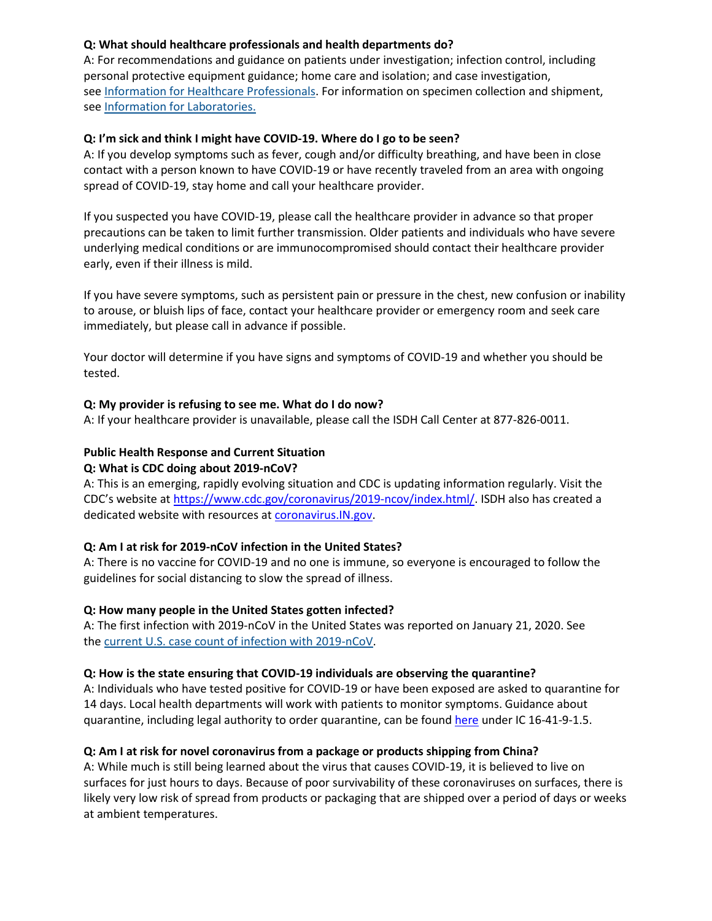# **Q: What should healthcare professionals and health departments do?**

A: For recommendations and guidance on patients under investigation; infection control, including personal protective equipment guidance; home care and isolation; and case investigation, see [Information for Healthcare Professionals.](https://www.cdc.gov/coronavirus/2019-nCoV/hcp/clinical-criteria.html) For information on specimen collection and shipment, see [Information for Laboratories.](https://www.cdc.gov/coronavirus/2019-nCoV/lab/index.html)

#### **Q: I'm sick and think I might have COVID-19. Where do I go to be seen?**

A: If you develop symptoms such as fever, cough and/or difficulty breathing, and have been in close contact with a person known to have COVID-19 or have recently traveled from an area with ongoing spread of COVID-19, stay home and call your healthcare provider.

If you suspected you have COVID-19, please call the healthcare provider in advance so that proper precautions can be taken to limit further transmission. Older patients and individuals who have severe underlying medical conditions or are immunocompromised should contact their healthcare provider early, even if their illness is mild.

If you have severe symptoms, such as persistent pain or pressure in the chest, new confusion or inability to arouse, or bluish lips of face, contact your healthcare provider or emergency room and seek care immediately, but please call in advance if possible.

Your doctor will determine if you have signs and symptoms of COVID-19 and whether you should be tested.

#### **Q: My provider is refusing to see me. What do I do now?**

A: If your healthcare provider is unavailable, please call the ISDH Call Center at 877-826-0011.

### **Public Health Response and Current Situation**

#### **Q: What is CDC doing about 2019-nCoV?**

A: This is an emerging, rapidly evolving situation and CDC is updating information regularly. Visit the CDC's website at [https://www.cdc.gov/coronavirus/2019-ncov/index.html/.](https://www.cdc.gov/coronavirus/2019-ncov/index.html/) ISDH also has created a dedicated website with resources at [coronavirus.IN.gov.](https://coronavirus.in.gov/)

#### **Q: Am I at risk for 2019-nCoV infection in the United States?**

A: There is no vaccine for COVID-19 and no one is immune, so everyone is encouraged to follow the guidelines for social distancing to slow the spread of illness.

#### **Q: How many people in the United States gotten infected?**

A: The first infection with 2019-nCoV in the United States was reported on January 21, 2020. See the [current U.S. case count of infection with 2019-nCoV.](https://www.cdc.gov/coronavirus/2019-ncov/cases-in-us.html)

#### **Q: How is the state ensuring that COVID-19 individuals are observing the quarantine?**

A: Individuals who have tested positive for COVID-19 or have been exposed are asked to quarantine for 14 days. Local health departments will work with patients to monitor symptoms. Guidance about quarantine, including legal authority to order quarantine, can be found [here](https://www.in.gov/isdh/files/Dr__Adams_-_Implementing_Isolation_and_Quarantine_October_30_2014.pdf) under IC 16-41-9-1.5.

#### **Q: Am I at risk for novel coronavirus from a package or products shipping from China?**

A: While much is still being learned about the virus that causes COVID-19, it is believed to live on surfaces for just hours to days. Because of poor survivability of these coronaviruses on surfaces, there is likely very low risk of spread from products or packaging that are shipped over a period of days or weeks at ambient temperatures.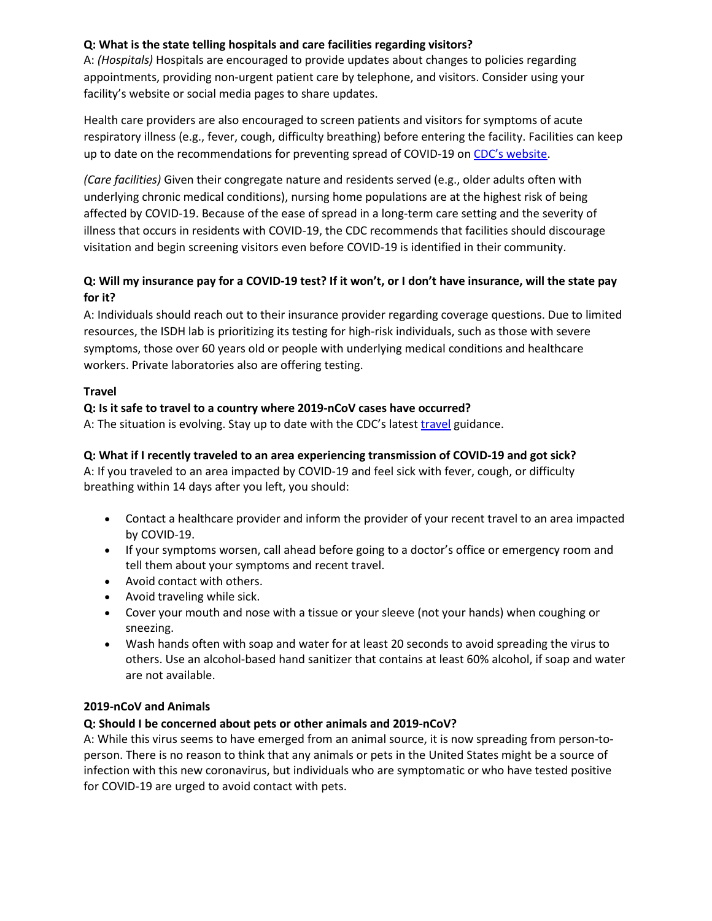# **Q: What is the state telling hospitals and care facilities regarding visitors?**

A: *(Hospitals)* Hospitals are encouraged to provide updates about changes to policies regarding appointments, providing non-urgent patient care by telephone, and visitors. Consider using your facility's website or social media pages to share updates.

Health care providers are also encouraged to screen patients and visitors for symptoms of acute respiratory illness (e.g., fever, cough, difficulty breathing) before entering the facility. Facilities can keep up to date on the recommendations for preventing spread of COVID-19 o[n CDC's website.](https://www.cdc.gov/coronavirus/2019-ncov/hcp/caring-for-patients.html)

*(Care facilities)* Given their congregate nature and residents served (e.g., older adults often with underlying chronic medical conditions), nursing home populations are at the highest risk of being affected by COVID-19. Because of the ease of spread in a long-term care setting and the severity of illness that occurs in residents with COVID-19, the CDC recommends that facilities should discourage visitation and begin screening visitors even before COVID-19 is identified in their community.

# **Q: Will my insurance pay for a COVID-19 test? If it won't, or I don't have insurance, will the state pay for it?**

A: Individuals should reach out to their insurance provider regarding coverage questions. Due to limited resources, the ISDH lab is prioritizing its testing for high-risk individuals, such as those with severe symptoms, those over 60 years old or people with underlying medical conditions and healthcare workers. Private laboratories also are offering testing.

# **Travel**

# **Q: Is it safe to travel to a country where 2019-nCoV cases have occurred?**

A: The situation is evolving. Stay up to date with the CDC's latest [travel](https://www.cdc.gov/coronavirus/2019-ncov/travelers/index.html) guidance.

### **Q: What if I recently traveled to an area experiencing transmission of COVID-19 and got sick?**

A: If you traveled to an area impacted by COVID-19 and feel sick with fever, cough, or difficulty breathing within 14 days after you left, you should:

- Contact a healthcare provider and inform the provider of your recent travel to an area impacted by COVID-19.
- If your symptoms worsen, call ahead before going to a doctor's office or emergency room and tell them about your symptoms and recent travel.
- Avoid contact with others.
- Avoid traveling while sick.
- Cover your mouth and nose with a tissue or your sleeve (not your hands) when coughing or sneezing.
- Wash hands often with soap and water for at least 20 seconds to avoid spreading the virus to others. Use an alcohol-based hand sanitizer that contains at least 60% alcohol, if soap and water are not available.

# **2019-nCoV and Animals**

# **Q: Should I be concerned about pets or other animals and 2019-nCoV?**

A: While this virus seems to have emerged from an animal source, it is now spreading from person-toperson. There is no reason to think that any animals or pets in the United States might be a source of infection with this new coronavirus, but individuals who are symptomatic or who have tested positive for COVID-19 are urged to avoid contact with pets.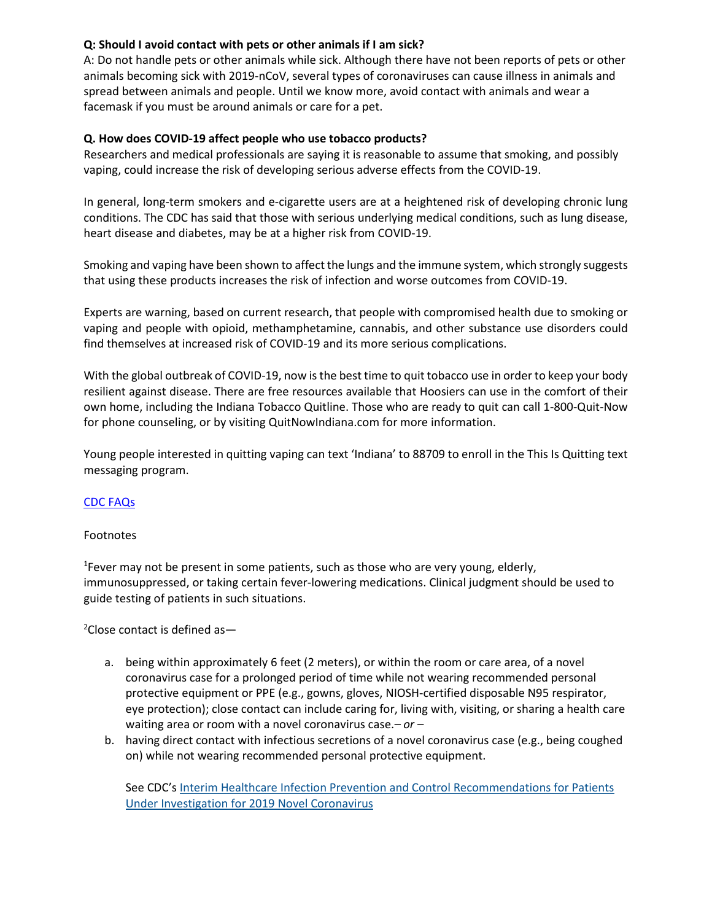### **Q: Should I avoid contact with pets or other animals if I am sick?**

A: Do not handle pets or other animals while sick. Although there have not been reports of pets or other animals becoming sick with 2019-nCoV, several types of coronaviruses can cause illness in animals and spread between animals and people. Until we know more, avoid contact with animals and wear a facemask if you must be around animals or care for a pet.

### **Q. How does COVID-19 affect people who use tobacco products?**

Researchers and medical professionals are saying it is reasonable to assume that smoking, and possibly vaping, could increase the risk of developing serious adverse effects from the COVID-19.

In general, long-term smokers and e-cigarette users are at a heightened risk of developing chronic lung conditions. The CDC has said that those with serious underlying medical conditions, such as lung disease, heart disease and diabetes, may be at a higher risk from COVID-19.

Smoking and vaping have been shown to affect the lungs and the immune system, which strongly suggests that using these products increases the risk of infection and worse outcomes from COVID-19.

Experts are warning, based on current research, that people with compromised health due to smoking or vaping and people with opioid, methamphetamine, cannabis, and other substance use disorders could find themselves at increased risk of COVID-19 and its more serious complications.

With the global outbreak of COVID-19, now is the best time to quit tobacco use in order to keep your body resilient against disease. There are free resources available that Hoosiers can use in the comfort of their own home, including the Indiana Tobacco Quitline. Those who are ready to quit can call 1-800-Quit-Now for phone counseling, or by visiting QuitNowIndiana.com for more information.

Young people interested in quitting vaping can text 'Indiana' to 88709 to enroll in the This Is Quitting text messaging program.

# [CDC FAQs](https://www.cdc.gov/coronavirus/2019-ncov/faq.html)

#### Footnotes

<sup>1</sup> Fever may not be present in some patients, such as those who are very young, elderly, immunosuppressed, or taking certain fever-lowering medications. Clinical judgment should be used to guide testing of patients in such situations.

2 Close contact is defined as—

- a. being within approximately 6 feet (2 meters), or within the room or care area, of a novel coronavirus case for a prolonged period of time while not wearing recommended personal protective equipment or PPE (e.g., gowns, gloves, NIOSH-certified disposable N95 respirator, eye protection); close contact can include caring for, living with, visiting, or sharing a health care waiting area or room with a novel coronavirus case.*– or –*
- b. having direct contact with infectious secretions of a novel coronavirus case (e.g., being coughed on) while not wearing recommended personal protective equipment.

See CDC's [Interim Healthcare Infection Prevention and Control Recommendations for Patients](https://www.cdc.gov/coronavirus/2019-ncov/hcp/infection-control.html)  [Under Investigation for 2019 Novel Coronavirus](https://www.cdc.gov/coronavirus/2019-ncov/hcp/infection-control.html)